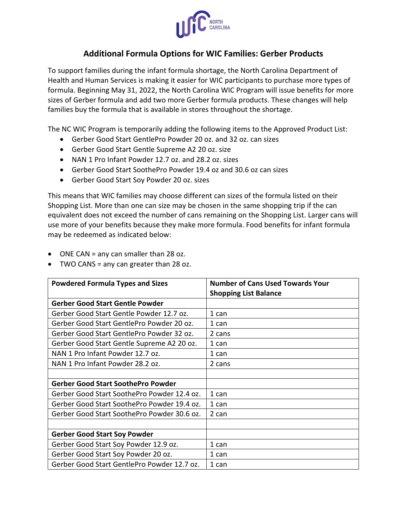

## **Additional Formula Options for WIC Families: Gerber Products**

To support families during the infant formula shortage, the North Carolina Department of Health and Human Services is making it easier for WIC participants to purchase more types of formula. Beginning May 31, 2022, the North Carolina WIC Program will issue benefits for more sizes of Gerber formula and add two more Gerber formula products. These changes will help families buy the formula that is available in stores throughout the shortage.

The NC WIC Program is temporarily adding the following items to the Approved Product List:

- Gerber Good Start GentlePro Powder 20 oz. and 32 oz. can sizes
- Gerber Good Start Gentle Supreme A2 20 oz. size
- NAN 1 Pro Infant Powder 12.7 oz. and 28.2 oz. sizes
- Gerber Good Start SoothePro Powder 19.4 oz and 30.6 oz can sizes
- Gerber Good Start Soy Powder 20 oz. sizes

This means that WIC families may choose different can sizes of the formula listed on their Shopping List. More than one can size may be chosen in the same shopping trip if the can equivalent does not exceed the number of cans remaining on the Shopping List. Larger cans will use more of your benefits because they make more formula. Food benefits for infant formula may be redeemed as indicated below:

- ONE CAN = any can smaller than 28 oz.
- TWO CANS = any can greater than 28 oz.

| <b>Powdered Formula Types and Sizes</b>     | <b>Number of Cans Used Towards Your</b> |
|---------------------------------------------|-----------------------------------------|
|                                             | <b>Shopping List Balance</b>            |
| <b>Gerber Good Start Gentle Powder</b>      |                                         |
| Gerber Good Start Gentle Powder 12.7 oz.    | 1 can                                   |
| Gerber Good Start GentlePro Powder 20 oz.   | 1 can                                   |
| Gerber Good Start GentlePro Powder 32 oz.   | 2 cans                                  |
| Gerber Good Start Gentle Supreme A2 20 oz.  | 1 can                                   |
| NAN 1 Pro Infant Powder 12.7 oz.            | 1 can                                   |
| NAN 1 Pro Infant Powder 28.2 oz.            | 2 cans                                  |
|                                             |                                         |
| <b>Gerber Good Start SoothePro Powder</b>   |                                         |
| Gerber Good Start SoothePro Powder 12.4 oz. | 1 can                                   |
| Gerber Good Start SoothePro Powder 19.4 oz. | 1 can                                   |
| Gerber Good Start SoothePro Powder 30.6 oz. | 2 can                                   |
|                                             |                                         |
| <b>Gerber Good Start Soy Powder</b>         |                                         |
| Gerber Good Start Soy Powder 12.9 oz.       | 1 can                                   |
| Gerber Good Start Soy Powder 20 oz.         | 1 can                                   |
| Gerber Good Start GentlePro Powder 12.7 oz. | 1 can                                   |